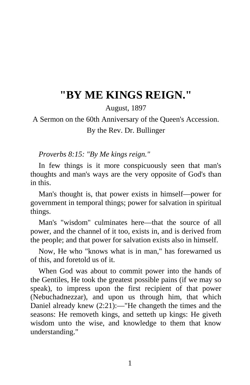## **"BY ME KINGS REIGN."**

August, 1897

A Sermon on the 60th Anniversary of the Queen's Accession.

By the Rev. Dr. Bullinger

*Proverbs 8:15: "By Me kings reign."* 

In few things is it more conspicuously seen that man's thoughts and man's ways are the very opposite of God's than in this.

Man's thought is, that power exists in himself—power for government in temporal things; power for salvation in spiritual things.

Man's "wisdom" culminates here—that the source of all power, and the channel of it too, exists in, and is derived from the people; and that power for salvation exists also in himself.

Now, He who "knows what is in man," has forewarned us of this, and foretold us of it.

When God was about to commit power into the hands of the Gentiles, He took the greatest possible pains (if we may so speak), to impress upon the first recipient of that power (Nebuchadnezzar), and upon us through him, that which Daniel already knew (2:21):—"He changeth the times and the seasons: He removeth kings, and setteth up kings: He giveth wisdom unto the wise, and knowledge to them that know understanding."

1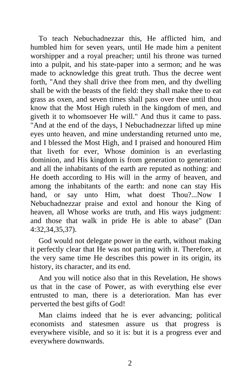To teach Nebuchadnezzar this, He afflicted him, and humbled him for seven years, until He made him a penitent worshipper and a royal preacher; until his throne was turned into a pulpit, and his state-paper into a sermon; and he was made to acknowledge this great truth. Thus the decree went forth, "And they shall drive thee from men, and thy dwelling shall be with the beasts of the field: they shall make thee to eat grass as oxen, and seven times shall pass over thee until thou know that the Most High ruleth in the kingdom of men, and giveth it to whomsoever He will." And thus it came to pass. "And at the end of the days, I Nebuchadnezzar lifted up mine eyes unto heaven, and mine understanding returned unto me, and I blessed the Most High, and I praised and honoured Him that liveth for ever, Whose dominion is an everlasting dominion, and His kingdom is from generation to generation: and all the inhabitants of the earth are reputed as nothing: and He doeth according to His will in the army of heaven, and among the inhabitants of the earth: and none can stay His hand, or say unto Him, what doest Thou?...Now I Nebuchadnezzar praise and extol and honour the King of heaven, all Whose works are truth, and His ways judgment: and those that walk in pride He is able to abase" (Dan 4:32,34,35,37).

God would not delegate power in the earth, without making it perfectly clear that He was not parting with it. Therefore, at the very same time He describes this power in its origin, its history, its character, and its end.

And you will notice also that in this Revelation, He shows us that in the case of Power, as with everything else ever entrusted to man, there is a deterioration. Man has ever perverted the best gifts of God!

Man claims indeed that he is ever advancing; political economists and statesmen assure us that progress is everywhere visible, and so it is: but it is a progress ever and everywhere downwards.

2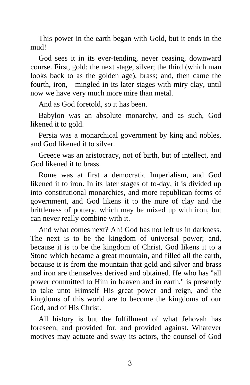This power in the earth began with Gold, but it ends in the mud!

God sees it in its ever-tending, never ceasing, downward course. First, gold; the next stage, silver; the third (which man looks back to as the golden age), brass; and, then came the fourth, iron,—mingled in its later stages with miry clay, until now we have very much more mire than metal.

And as God foretold, so it has been.

Babylon was an absolute monarchy, and as such, God likened it to gold.

Persia was a monarchical government by king and nobles, and God likened it to silver.

Greece was an aristocracy, not of birth, but of intellect, and God likened it to brass.

Rome was at first a democratic Imperialism, and God likened it to iron. In its later stages of to-day, it is divided up into constitutional monarchies, and more republican forms of government, and God likens it to the mire of clay and the brittleness of pottery, which may be mixed up with iron, but can never really combine with it.

And what comes next? Ah! God has not left us in darkness. The next is to be the kingdom of universal power; and, because it is to be the kingdom of Christ, God likens it to a Stone which became a great mountain, and filled all the earth, because it is from the mountain that gold and silver and brass and iron are themselves derived and obtained. He who has "all power committed to Him in heaven and in earth," is presently to take unto Himself His great power and reign, and the kingdoms of this world are to become the kingdoms of our God, and of His Christ.

All history is but the fulfillment of what Jehovah has foreseen, and provided for, and provided against. Whatever motives may actuate and sway its actors, the counsel of God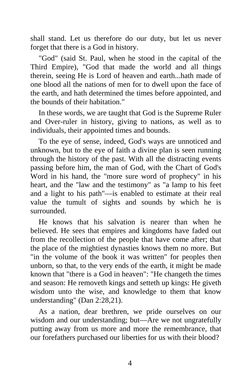shall stand. Let us therefore do our duty, but let us never forget that there is a God in history.

"God" (said St. Paul, when he stood in the capital of the Third Empire), "God that made the world and all things therein, seeing He is Lord of heaven and earth...hath made of one blood all the nations of men for to dwell upon the face of the earth, and hath determined the times before appointed, and the bounds of their habitation."

In these words, we are taught that God is the Supreme Ruler and Over-ruler in history, giving to nations, as well as to individuals, their appointed times and bounds.

To the eye of sense, indeed, God's ways are unnoticed and unknown, but to the eye of faith a divine plan is seen running through the history of the past. With all the distracting events passing before him, the man of God, with the Chart of God's Word in his hand, the "more sure word of prophecy" in his heart, and the "law and the testimony" as "a lamp to his feet and a light to his path"—is enabled to estimate at their real value the tumult of sights and sounds by which he is surrounded.

He knows that his salvation is nearer than when he believed. He sees that empires and kingdoms have faded out from the recollection of the people that have come after; that the place of the mightiest dynasties knows them no more. But "in the volume of the book it was written" for peoples then unborn, so that, to the very ends of the earth, it might be made known that "there is a God in heaven": "He changeth the times and season: He removeth kings and setteth up kings: He giveth wisdom unto the wise, and knowledge to them that know understanding" (Dan 2:28,21).

As a nation, dear brethren, we pride ourselves on our wisdom and our understanding; but—Are we not ungratefully putting away from us more and more the remembrance, that our forefathers purchased our liberties for us with their blood?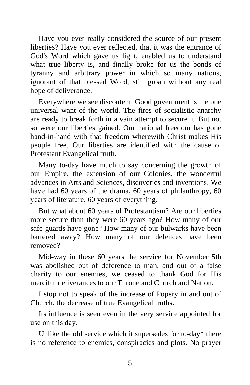Have you ever really considered the source of our present liberties? Have you ever reflected, that it was the entrance of God's Word which gave us light, enabled us to understand what true liberty is, and finally broke for us the bonds of tyranny and arbitrary power in which so many nations, ignorant of that blessed Word, still groan without any real hope of deliverance.

Everywhere we see discontent. Good government is the one universal want of the world. The fires of socialistic anarchy are ready to break forth in a vain attempt to secure it. But not so were our liberties gained. Our national freedom has gone hand-in-hand with that freedom wherewith Christ makes His people free. Our liberties are identified with the cause of Protestant Evangelical truth.

Many to-day have much to say concerning the growth of our Empire, the extension of our Colonies, the wonderful advances in Arts and Sciences, discoveries and inventions. We have had 60 years of the drama, 60 years of philanthropy, 60 years of literature, 60 years of everything.

But what about 60 years of Protestantism? Are our liberties more secure than they were 60 years ago? How many of our safe-guards have gone? How many of our bulwarks have been bartered away? How many of our defences have been removed?

Mid-way in these 60 years the service for November 5th was abolished out of deference to man, and out of a false charity to our enemies, we ceased to thank God for His merciful deliverances to our Throne and Church and Nation.

I stop not to speak of the increase of Popery in and out of Church, the decrease of true Evangelical truths.

Its influence is seen even in the very service appointed for use on this day.

Unlike the old service which it supersedes for to-day\* there is no reference to enemies, conspiracies and plots. No prayer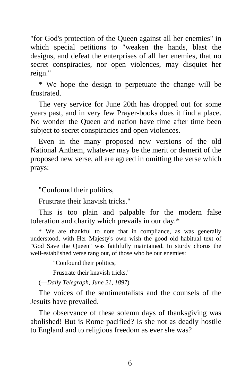"for God's protection of the Queen against all her enemies" in which special petitions to "weaken the hands, blast the designs, and defeat the enterprises of all her enemies, that no secret conspiracies, nor open violences, may disquiet her reign."

\* We hope the design to perpetuate the change will be frustrated.

The very service for June 20th has dropped out for some years past, and in very few Prayer-books does it find a place. No wonder the Queen and nation have time after time been subject to secret conspiracies and open violences.

Even in the many proposed new versions of the old National Anthem, whatever may be the merit or demerit of the proposed new verse, all are agreed in omitting the verse which prays:

"Confound their politics,

Frustrate their knavish tricks."

This is too plain and palpable for the modern false toleration and charity which prevails in our day.\*

\* We are thankful to note that in compliance, as was generally understood, with Her Majesty's own wish the good old habitual text of "God Save the Queen" was faithfully maintained. In sturdy chorus the well-established verse rang out, of those who be our enemies:

"Confound their politics,

Frustrate their knavish tricks."

(—*Daily Telegraph, June 21, 1897*)

The voices of the sentimentalists and the counsels of the Jesuits have prevailed.

The observance of these solemn days of thanksgiving was abolished! But is Rome pacified? Is she not as deadly hostile to England and to religious freedom as ever she was?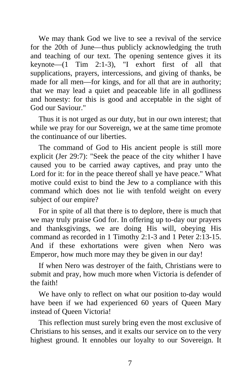We may thank God we live to see a revival of the service for the 20th of June—thus publicly acknowledging the truth and teaching of our text. The opening sentence gives it its keynote—(1 Tim 2:1-3), "I exhort first of all that supplications, prayers, intercessions, and giving of thanks, be made for all men—for kings, and for all that are in authority; that we may lead a quiet and peaceable life in all godliness and honesty: for this is good and acceptable in the sight of God our Saviour."

Thus it is not urged as our duty, but in our own interest; that while we pray for our Sovereign, we at the same time promote the continuance of our liberties.

The command of God to His ancient people is still more explicit (Jer 29:7): "Seek the peace of the city whither I have caused you to be carried away captives, and pray unto the Lord for it: for in the peace thereof shall ye have peace." What motive could exist to bind the Jew to a compliance with this command which does not lie with tenfold weight on every subject of our empire?

For in spite of all that there is to deplore, there is much that we may truly praise God for. In offering up to-day our prayers and thanksgivings, we are doing His will, obeying His command as recorded in 1 Timothy 2:1-3 and 1 Peter 2:13-15. And if these exhortations were given when Nero was Emperor, how much more may they be given in our day!

If when Nero was destroyer of the faith, Christians were to submit and pray, how much more when Victoria is defender of the faith!

We have only to reflect on what our position to-day would have been if we had experienced 60 years of Queen Mary instead of Queen Victoria!

This reflection must surely bring even the most exclusive of Christians to his senses, and it exalts our service on to the very highest ground. It ennobles our loyalty to our Sovereign. It